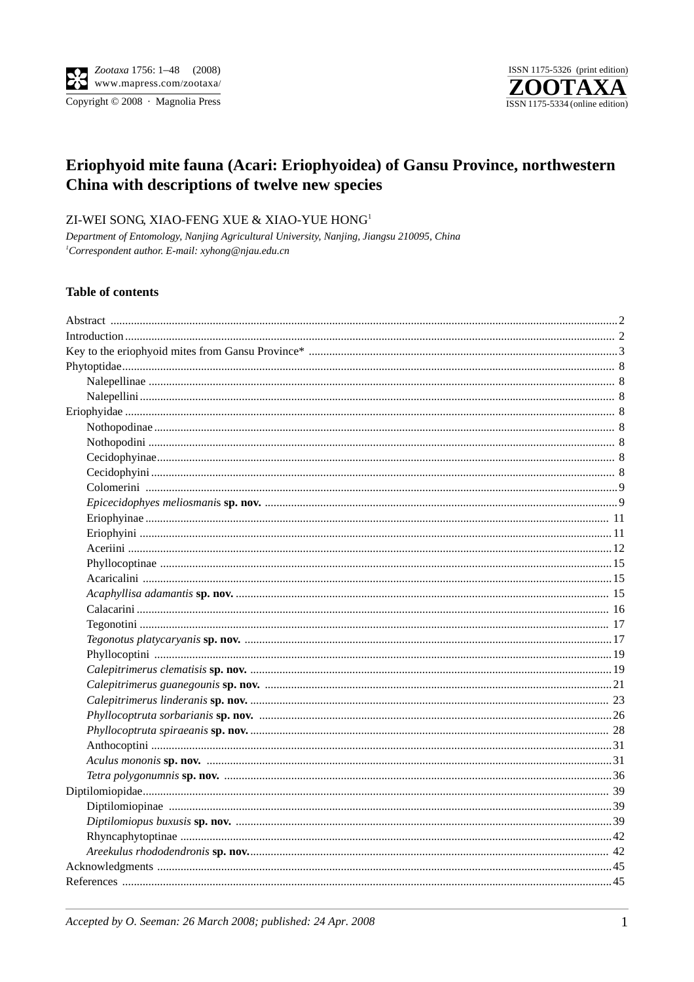

# Eriophyoid mite fauna (Acari: Eriophyoidea) of Gansu Province, northwestern China with descriptions of twelve new species

# ZI-WEI SONG, XIAO-FENG XUE & XIAO-YUE HONG<sup>1</sup>

Department of Entomology, Nanjing Agricultural University, Nanjing, Jiangsu 210095, China <sup>1</sup>Correspondent author. E-mail: xyhong@njau.edu.cn

### **Table of contents**